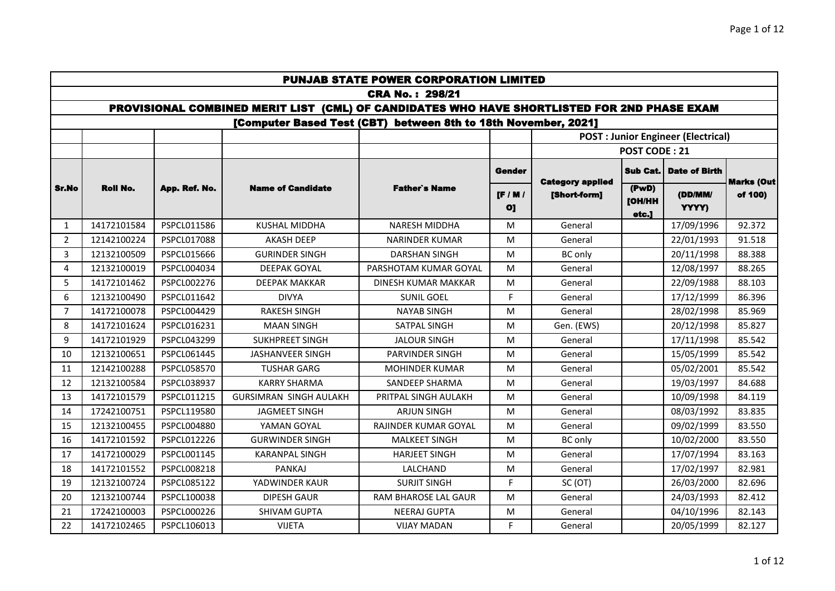|                |                 |               |                                                                                             | <b>PUNJAB STATE POWER CORPORATION LIMITED</b>                  |                               |                                         |                          |                                            |                   |
|----------------|-----------------|---------------|---------------------------------------------------------------------------------------------|----------------------------------------------------------------|-------------------------------|-----------------------------------------|--------------------------|--------------------------------------------|-------------------|
|                |                 |               |                                                                                             | <b>CRA No.: 298/21</b>                                         |                               |                                         |                          |                                            |                   |
|                |                 |               | PROVISIONAL COMBINED MERIT LIST (CML) OF CANDIDATES WHO HAVE SHORTLISTED FOR 2ND PHASE EXAM |                                                                |                               |                                         |                          |                                            |                   |
|                |                 |               |                                                                                             | [Computer Based Test (CBT) between 8th to 18th November, 2021] |                               |                                         |                          |                                            |                   |
|                |                 |               |                                                                                             |                                                                |                               |                                         |                          | <b>POST : Junior Engineer (Electrical)</b> |                   |
|                |                 |               |                                                                                             |                                                                |                               |                                         | <b>POST CODE: 21</b>     |                                            |                   |
|                |                 |               |                                                                                             |                                                                | Gender                        |                                         | <b>Sub Cat.</b>          | <b>Date of Birth</b>                       | <b>Marks (Out</b> |
| Sr.No          | <b>Roll No.</b> | App. Ref. No. | <b>Name of Candidate</b>                                                                    | <b>Father's Name</b>                                           | $[$ F / M /<br>O <sub>1</sub> | <b>Category applied</b><br>[Short-form] | (PwD)<br>[OH/HH<br>etc.] | (DD/MM/<br>YYYY)                           | of 100)           |
| $\mathbf{1}$   | 14172101584     | PSPCL011586   | <b>KUSHAL MIDDHA</b>                                                                        | <b>NARESH MIDDHA</b>                                           | M                             | General                                 |                          | 17/09/1996                                 | 92.372            |
| $\overline{2}$ | 12142100224     | PSPCL017088   | <b>AKASH DEEP</b>                                                                           | <b>NARINDER KUMAR</b>                                          | M                             | General                                 |                          | 22/01/1993                                 | 91.518            |
| 3              | 12132100509     | PSPCL015666   | <b>GURINDER SINGH</b>                                                                       | <b>DARSHAN SINGH</b>                                           | M                             | <b>BC</b> only                          |                          | 20/11/1998                                 | 88.388            |
| 4              | 12132100019     | PSPCL004034   | <b>DEEPAK GOYAL</b>                                                                         | PARSHOTAM KUMAR GOYAL                                          | М                             | General                                 |                          | 12/08/1997                                 | 88.265            |
| 5              | 14172101462     | PSPCL002276   | <b>DEEPAK MAKKAR</b>                                                                        | DINESH KUMAR MAKKAR                                            | M                             | General                                 |                          | 22/09/1988                                 | 88.103            |
| 6              | 12132100490     | PSPCL011642   | <b>DIVYA</b>                                                                                | <b>SUNIL GOEL</b>                                              | F.                            | General                                 |                          | 17/12/1999                                 | 86.396            |
| $\overline{7}$ | 14172100078     | PSPCL004429   | <b>RAKESH SINGH</b>                                                                         | <b>NAYAB SINGH</b>                                             | M                             | General                                 |                          | 28/02/1998                                 | 85.969            |
| 8              | 14172101624     | PSPCL016231   | <b>MAAN SINGH</b>                                                                           | SATPAL SINGH                                                   | M                             | Gen. (EWS)                              |                          | 20/12/1998                                 | 85.827            |
| 9              | 14172101929     | PSPCL043299   | <b>SUKHPREET SINGH</b>                                                                      | <b>JALOUR SINGH</b>                                            | M                             | General                                 |                          | 17/11/1998                                 | 85.542            |
| 10             | 12132100651     | PSPCL061445   | <b>JASHANVEER SINGH</b>                                                                     | PARVINDER SINGH                                                | M                             | General                                 |                          | 15/05/1999                                 | 85.542            |
| 11             | 12142100288     | PSPCL058570   | <b>TUSHAR GARG</b>                                                                          | <b>MOHINDER KUMAR</b>                                          | М                             | General                                 |                          | 05/02/2001                                 | 85.542            |
| 12             | 12132100584     | PSPCL038937   | <b>KARRY SHARMA</b>                                                                         | <b>SANDEEP SHARMA</b>                                          | M                             | General                                 |                          | 19/03/1997                                 | 84.688            |
| 13             | 14172101579     | PSPCL011215   | <b>GURSIMRAN SINGH AULAKH</b>                                                               | PRITPAL SINGH AULAKH                                           | M                             | General                                 |                          | 10/09/1998                                 | 84.119            |
| 14             | 17242100751     | PSPCL119580   | <b>JAGMEET SINGH</b>                                                                        | <b>ARJUN SINGH</b>                                             | М                             | General                                 |                          | 08/03/1992                                 | 83.835            |
| 15             | 12132100455     | PSPCL004880   | YAMAN GOYAL                                                                                 | RAJINDER KUMAR GOYAL                                           | M                             | General                                 |                          | 09/02/1999                                 | 83.550            |
| 16             | 14172101592     | PSPCL012226   | <b>GURWINDER SINGH</b>                                                                      | <b>MALKEET SINGH</b>                                           | M                             | <b>BC</b> only                          |                          | 10/02/2000                                 | 83.550            |
| 17             | 14172100029     | PSPCL001145   | <b>KARANPAL SINGH</b>                                                                       | <b>HARJEET SINGH</b>                                           | M                             | General                                 |                          | 17/07/1994                                 | 83.163            |
| 18             | 14172101552     | PSPCL008218   | <b>PANKAJ</b>                                                                               | LALCHAND                                                       | M                             | General                                 |                          | 17/02/1997                                 | 82.981            |
| 19             | 12132100724     | PSPCL085122   | YADWINDER KAUR                                                                              | <b>SURJIT SINGH</b>                                            | F.                            | SC (OT)                                 |                          | 26/03/2000                                 | 82.696            |
| 20             | 12132100744     | PSPCL100038   | <b>DIPESH GAUR</b>                                                                          | RAM BHAROSE LAL GAUR                                           | M                             | General                                 |                          | 24/03/1993                                 | 82.412            |
| 21             | 17242100003     | PSPCL000226   | <b>SHIVAM GUPTA</b>                                                                         | <b>NEERAJ GUPTA</b>                                            | M                             | General                                 |                          | 04/10/1996                                 | 82.143            |
| 22             | 14172102465     | PSPCL106013   | <b>VIJETA</b>                                                                               | <b>VIJAY MADAN</b>                                             | F.                            | General                                 |                          | 20/05/1999                                 | 82.127            |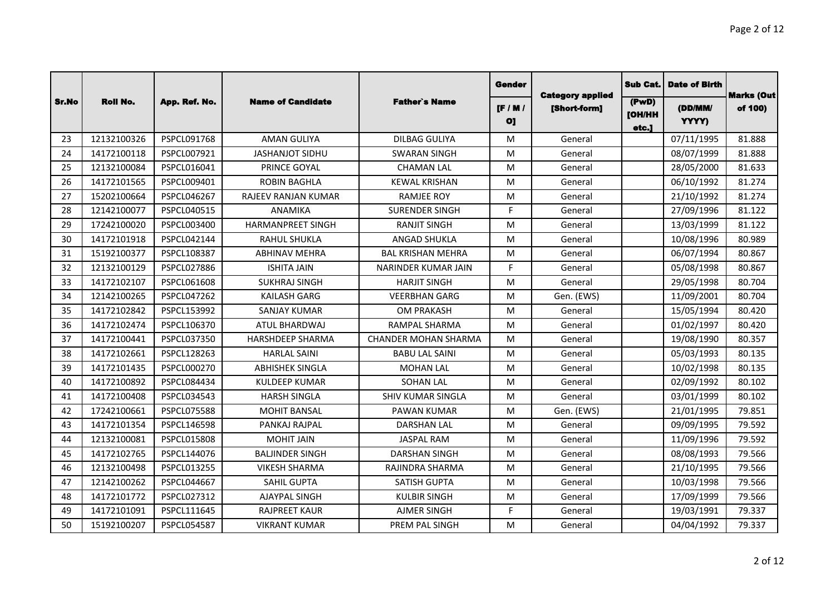|       |                 |                    |                            |                             | <b>Gender</b>                 | <b>Category applied</b> | Sub Cat.                 | <b>Date of Birth</b> | <b>Marks (Out</b> |
|-------|-----------------|--------------------|----------------------------|-----------------------------|-------------------------------|-------------------------|--------------------------|----------------------|-------------------|
| Sr.No | <b>Roll No.</b> | App. Ref. No.      | <b>Name of Candidate</b>   | <b>Father's Name</b>        | $[$ F / M /<br>O <sub>1</sub> | [Short-form]            | (PwD)<br>[OH/HH<br>etc.] | (DD/MM/<br>YYYY)     | of 100)           |
| 23    | 12132100326     | PSPCL091768        | <b>AMAN GULIYA</b>         | <b>DILBAG GULIYA</b>        | M                             | General                 |                          | 07/11/1995           | 81.888            |
| 24    | 14172100118     | PSPCL007921        | JASHANJOT SIDHU            | <b>SWARAN SINGH</b>         | M                             | General                 |                          | 08/07/1999           | 81.888            |
| 25    | 12132100084     | PSPCL016041        | PRINCE GOYAL               | <b>CHAMAN LAL</b>           | M                             | General                 |                          | 28/05/2000           | 81.633            |
| 26    | 14172101565     | PSPCL009401        | <b>ROBIN BAGHLA</b>        | <b>KEWAL KRISHAN</b>        | M                             | General                 |                          | 06/10/1992           | 81.274            |
| 27    | 15202100664     | PSPCL046267        | <b>RAJEEV RANJAN KUMAR</b> | <b>RAMJEE ROY</b>           | M                             | General                 |                          | 21/10/1992           | 81.274            |
| 28    | 12142100077     | PSPCL040515        | ANAMIKA                    | <b>SURENDER SINGH</b>       | F.                            | General                 |                          | 27/09/1996           | 81.122            |
| 29    | 17242100020     | PSPCL003400        | <b>HARMANPREET SINGH</b>   | <b>RANJIT SINGH</b>         | M                             | General                 |                          | 13/03/1999           | 81.122            |
| 30    | 14172101918     | PSPCL042144        | <b>RAHUL SHUKLA</b>        | ANGAD SHUKLA                | M                             | General                 |                          | 10/08/1996           | 80.989            |
| 31    | 15192100377     | PSPCL108387        | <b>ABHINAV MEHRA</b>       | <b>BAL KRISHAN MEHRA</b>    | M                             | General                 |                          | 06/07/1994           | 80.867            |
| 32    | 12132100129     | PSPCL027886        | <b>ISHITA JAIN</b>         | NARINDER KUMAR JAIN         | F.                            | General                 |                          | 05/08/1998           | 80.867            |
| 33    | 14172102107     | PSPCL061608        | <b>SUKHRAJ SINGH</b>       | <b>HARJIT SINGH</b>         | M                             | General                 |                          | 29/05/1998           | 80.704            |
| 34    | 12142100265     | PSPCL047262        | <b>KAILASH GARG</b>        | <b>VEERBHAN GARG</b>        | M                             | Gen. (EWS)              |                          | 11/09/2001           | 80.704            |
| 35    | 14172102842     | PSPCL153992        | <b>SANJAY KUMAR</b>        | <b>OM PRAKASH</b>           | M                             | General                 |                          | 15/05/1994           | 80.420            |
| 36    | 14172102474     | PSPCL106370        | <b>ATUL BHARDWAJ</b>       | <b>RAMPAL SHARMA</b>        | M                             | General                 |                          | 01/02/1997           | 80.420            |
| 37    | 14172100441     | PSPCL037350        | <b>HARSHDEEP SHARMA</b>    | <b>CHANDER MOHAN SHARMA</b> | M                             | General                 |                          | 19/08/1990           | 80.357            |
| 38    | 14172102661     | PSPCL128263        | <b>HARLAL SAINI</b>        | <b>BABU LAL SAINI</b>       | M                             | General                 |                          | 05/03/1993           | 80.135            |
| 39    | 14172101435     | PSPCL000270        | <b>ABHISHEK SINGLA</b>     | <b>MOHAN LAL</b>            | M                             | General                 |                          | 10/02/1998           | 80.135            |
| 40    | 14172100892     | PSPCL084434        | <b>KULDEEP KUMAR</b>       | <b>SOHAN LAL</b>            | M                             | General                 |                          | 02/09/1992           | 80.102            |
| 41    | 14172100408     | PSPCL034543        | <b>HARSH SINGLA</b>        | <b>SHIV KUMAR SINGLA</b>    | M                             | General                 |                          | 03/01/1999           | 80.102            |
| 42    | 17242100661     | PSPCL075588        | <b>MOHIT BANSAL</b>        | PAWAN KUMAR                 | M                             | Gen. (EWS)              |                          | 21/01/1995           | 79.851            |
| 43    | 14172101354     | PSPCL146598        | PANKAJ RAJPAL              | <b>DARSHAN LAL</b>          | M                             | General                 |                          | 09/09/1995           | 79.592            |
| 44    | 12132100081     | PSPCL015808        | MOHIT JAIN                 | <b>JASPAL RAM</b>           | M                             | General                 |                          | 11/09/1996           | 79.592            |
| 45    | 14172102765     | PSPCL144076        | <b>BALJINDER SINGH</b>     | <b>DARSHAN SINGH</b>        | M                             | General                 |                          | 08/08/1993           | 79.566            |
| 46    | 12132100498     | PSPCL013255        | <b>VIKESH SHARMA</b>       | RAJINDRA SHARMA             | M                             | General                 |                          | 21/10/1995           | 79.566            |
| 47    | 12142100262     | PSPCL044667        | <b>SAHIL GUPTA</b>         | <b>SATISH GUPTA</b>         | M                             | General                 |                          | 10/03/1998           | 79.566            |
| 48    | 14172101772     | PSPCL027312        | <b>AJAYPAL SINGH</b>       | <b>KULBIR SINGH</b>         | M                             | General                 |                          | 17/09/1999           | 79.566            |
| 49    | 14172101091     | PSPCL111645        | <b>RAJPREET KAUR</b>       | <b>AJMER SINGH</b>          | F.                            | General                 |                          | 19/03/1991           | 79.337            |
| 50    | 15192100207     | <b>PSPCL054587</b> | VIKRANT KUMAR              | PREM PAL SINGH              | M                             | General                 |                          | 04/04/1992           | 79.337            |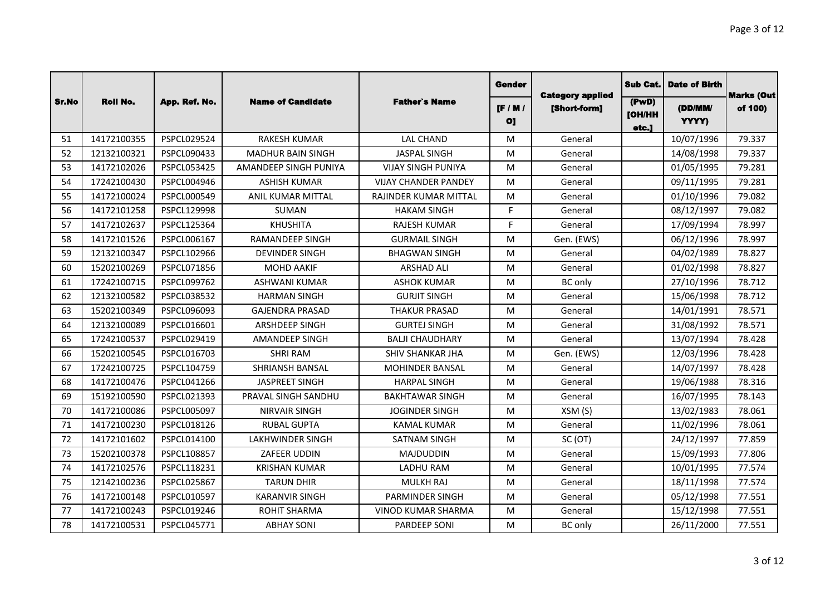|       |                 |               |                          |                             | Gender                        |                                         | Sub Cat.                        | <b>Date of Birth</b> | <b>Marks (Out</b> |
|-------|-----------------|---------------|--------------------------|-----------------------------|-------------------------------|-----------------------------------------|---------------------------------|----------------------|-------------------|
| Sr.No | <b>Roll No.</b> | App. Ref. No. | <b>Name of Candidate</b> | <b>Father's Name</b>        | $[$ F / M /<br>O <sub>1</sub> | <b>Category applied</b><br>[Short-form] | (PwD)<br><b>[OH/HH</b><br>etc.] | (DD/MM/<br>YYYY)     | of 100)           |
| 51    | 14172100355     | PSPCL029524   | <b>RAKESH KUMAR</b>      | <b>LAL CHAND</b>            | M                             | General                                 |                                 | 10/07/1996           | 79.337            |
| 52    | 12132100321     | PSPCL090433   | <b>MADHUR BAIN SINGH</b> | <b>JASPAL SINGH</b>         | M                             | General                                 |                                 | 14/08/1998           | 79.337            |
| 53    | 14172102026     | PSPCL053425   | AMANDEEP SINGH PUNIYA    | <b>VIJAY SINGH PUNIYA</b>   | M                             | General                                 |                                 | 01/05/1995           | 79.281            |
| 54    | 17242100430     | PSPCL004946   | <b>ASHISH KUMAR</b>      | <b>VIJAY CHANDER PANDEY</b> | M                             | General                                 |                                 | 09/11/1995           | 79.281            |
| 55    | 14172100024     | PSPCL000549   | ANIL KUMAR MITTAL        | RAJINDER KUMAR MITTAL       | M                             | General                                 |                                 | 01/10/1996           | 79.082            |
| 56    | 14172101258     | PSPCL129998   | <b>SUMAN</b>             | <b>HAKAM SINGH</b>          | F.                            | General                                 |                                 | 08/12/1997           | 79.082            |
| 57    | 14172102637     | PSPCL125364   | <b>KHUSHITA</b>          | <b>RAJESH KUMAR</b>         | F.                            | General                                 |                                 | 17/09/1994           | 78.997            |
| 58    | 14172101526     | PSPCL006167   | <b>RAMANDEEP SINGH</b>   | <b>GURMAIL SINGH</b>        | M                             | Gen. (EWS)                              |                                 | 06/12/1996           | 78.997            |
| 59    | 12132100347     | PSPCL102966   | <b>DEVINDER SINGH</b>    | <b>BHAGWAN SINGH</b>        | M                             | General                                 |                                 | 04/02/1989           | 78.827            |
| 60    | 15202100269     | PSPCL071856   | <b>MOHD AAKIF</b>        | <b>ARSHAD ALI</b>           | M                             | General                                 |                                 | 01/02/1998           | 78.827            |
| 61    | 17242100715     | PSPCL099762   | <b>ASHWANI KUMAR</b>     | <b>ASHOK KUMAR</b>          | M                             | <b>BC</b> only                          |                                 | 27/10/1996           | 78.712            |
| 62    | 12132100582     | PSPCL038532   | <b>HARMAN SINGH</b>      | <b>GURJIT SINGH</b>         | M                             | General                                 |                                 | 15/06/1998           | 78.712            |
| 63    | 15202100349     | PSPCL096093   | <b>GAJENDRA PRASAD</b>   | <b>THAKUR PRASAD</b>        | M                             | General                                 |                                 | 14/01/1991           | 78.571            |
| 64    | 12132100089     | PSPCL016601   | <b>ARSHDEEP SINGH</b>    | <b>GURTEJ SINGH</b>         | M                             | General                                 |                                 | 31/08/1992           | 78.571            |
| 65    | 17242100537     | PSPCL029419   | <b>AMANDEEP SINGH</b>    | <b>BALJI CHAUDHARY</b>      | M                             | General                                 |                                 | 13/07/1994           | 78.428            |
| 66    | 15202100545     | PSPCL016703   | <b>SHRI RAM</b>          | <b>SHIV SHANKAR JHA</b>     | M                             | Gen. (EWS)                              |                                 | 12/03/1996           | 78.428            |
| 67    | 17242100725     | PSPCL104759   | SHRIANSH BANSAL          | <b>MOHINDER BANSAL</b>      | M                             | General                                 |                                 | 14/07/1997           | 78.428            |
| 68    | 14172100476     | PSPCL041266   | <b>JASPREET SINGH</b>    | <b>HARPAL SINGH</b>         | M                             | General                                 |                                 | 19/06/1988           | 78.316            |
| 69    | 15192100590     | PSPCL021393   | PRAVAL SINGH SANDHU      | <b>BAKHTAWAR SINGH</b>      | M                             | General                                 |                                 | 16/07/1995           | 78.143            |
| 70    | 14172100086     | PSPCL005097   | <b>NIRVAIR SINGH</b>     | <b>JOGINDER SINGH</b>       | M                             | XSM(S)                                  |                                 | 13/02/1983           | 78.061            |
| 71    | 14172100230     | PSPCL018126   | <b>RUBAL GUPTA</b>       | <b>KAMAL KUMAR</b>          | M                             | General                                 |                                 | 11/02/1996           | 78.061            |
| 72    | 14172101602     | PSPCL014100   | <b>LAKHWINDER SINGH</b>  | <b>SATNAM SINGH</b>         | M                             | SC(OT)                                  |                                 | 24/12/1997           | 77.859            |
| 73    | 15202100378     | PSPCL108857   | ZAFEER UDDIN             | <b>MAJDUDDIN</b>            | M                             | General                                 |                                 | 15/09/1993           | 77.806            |
| 74    | 14172102576     | PSPCL118231   | <b>KRISHAN KUMAR</b>     | <b>LADHU RAM</b>            | M                             | General                                 |                                 | 10/01/1995           | 77.574            |
| 75    | 12142100236     | PSPCL025867   | <b>TARUN DHIR</b>        | <b>MULKH RAJ</b>            | M                             | General                                 |                                 | 18/11/1998           | 77.574            |
| 76    | 14172100148     | PSPCL010597   | <b>KARANVIR SINGH</b>    | PARMINDER SINGH             | M                             | General                                 |                                 | 05/12/1998           | 77.551            |
| 77    | 14172100243     | PSPCL019246   | ROHIT SHARMA             | <b>VINOD KUMAR SHARMA</b>   | M                             | General                                 |                                 | 15/12/1998           | 77.551            |
| 78    | 14172100531     | PSPCL045771   | <b>ABHAY SONI</b>        | <b>PARDEEP SONI</b>         | M                             | <b>BC</b> only                          |                                 | 26/11/2000           | 77.551            |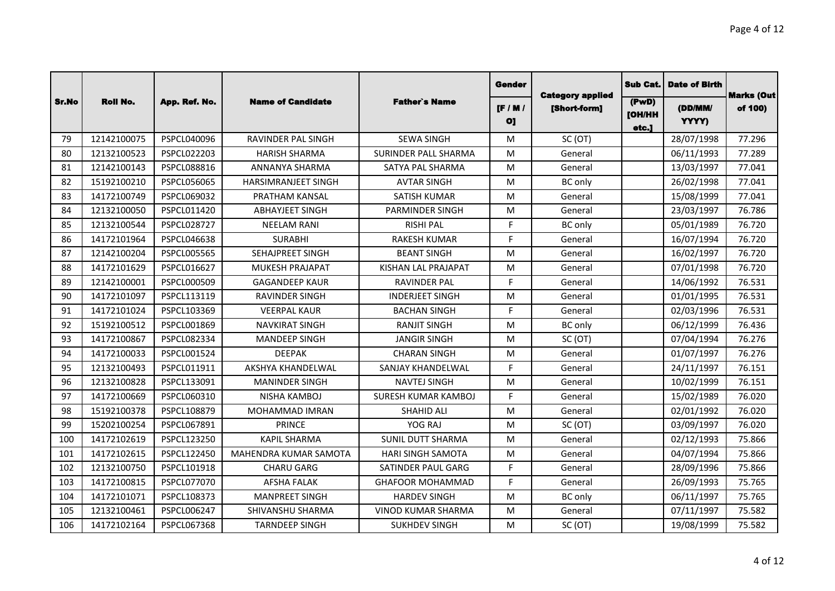|       |                 |                    |                            |                             | Gender                        | <b>Category applied</b> | Sub Cat.                        | <b>Date of Birth</b> | <b>Marks (Out</b> |
|-------|-----------------|--------------------|----------------------------|-----------------------------|-------------------------------|-------------------------|---------------------------------|----------------------|-------------------|
| Sr.No | <b>Roll No.</b> | App. Ref. No.      | <b>Name of Candidate</b>   | <b>Father's Name</b>        | $[$ F / M /<br>O <sub>1</sub> | [Short-form]            | (PwD)<br><b>[OH/HH</b><br>etc.] | (DD/MM/<br>YYYY)     | of 100)           |
| 79    | 12142100075     | PSPCL040096        | RAVINDER PAL SINGH         | <b>SEWA SINGH</b>           | M                             | SC (OT)                 |                                 | 28/07/1998           | 77.296            |
| 80    | 12132100523     | PSPCL022203        | <b>HARISH SHARMA</b>       | <b>SURINDER PALL SHARMA</b> | M                             | General                 |                                 | 06/11/1993           | 77.289            |
| 81    | 12142100143     | PSPCL088816        | ANNANYA SHARMA             | SATYA PAL SHARMA            | M                             | General                 |                                 | 13/03/1997           | 77.041            |
| 82    | 15192100210     | PSPCL056065        | <b>HARSIMRANJEET SINGH</b> | <b>AVTAR SINGH</b>          | M                             | <b>BC</b> only          |                                 | 26/02/1998           | 77.041            |
| 83    | 14172100749     | PSPCL069032        | <b>PRATHAM KANSAL</b>      | SATISH KUMAR                | M                             | General                 |                                 | 15/08/1999           | 77.041            |
| 84    | 12132100050     | PSPCL011420        | <b>ABHAYJEET SINGH</b>     | PARMINDER SINGH             | M                             | General                 |                                 | 23/03/1997           | 76.786            |
| 85    | 12132100544     | PSPCL028727        | <b>NEELAM RANI</b>         | <b>RISHI PAL</b>            | F.                            | <b>BC</b> only          |                                 | 05/01/1989           | 76.720            |
| 86    | 14172101964     | PSPCL046638        | <b>SURABHI</b>             | <b>RAKESH KUMAR</b>         | F.                            | General                 |                                 | 16/07/1994           | 76.720            |
| 87    | 12142100204     | <b>PSPCL005565</b> | SEHAJPREET SINGH           | <b>BEANT SINGH</b>          | M                             | General                 |                                 | 16/02/1997           | 76.720            |
| 88    | 14172101629     | PSPCL016627        | <b>MUKESH PRAJAPAT</b>     | KISHAN LAL PRAJAPAT         | M                             | General                 |                                 | 07/01/1998           | 76.720            |
| 89    | 12142100001     | PSPCL000509        | <b>GAGANDEEP KAUR</b>      | <b>RAVINDER PAL</b>         | F.                            | General                 |                                 | 14/06/1992           | 76.531            |
| 90    | 14172101097     | PSPCL113119        | <b>RAVINDER SINGH</b>      | <b>INDERJEET SINGH</b>      | M                             | General                 |                                 | 01/01/1995           | 76.531            |
| 91    | 14172101024     | PSPCL103369        | <b>VEERPAL KAUR</b>        | <b>BACHAN SINGH</b>         | F.                            | General                 |                                 | 02/03/1996           | 76.531            |
| 92    | 15192100512     | PSPCL001869        | <b>NAVKIRAT SINGH</b>      | <b>RANJIT SINGH</b>         | M                             | <b>BC</b> only          |                                 | 06/12/1999           | 76.436            |
| 93    | 14172100867     | PSPCL082334        | <b>MANDEEP SINGH</b>       | <b>JANGIR SINGH</b>         | M                             | SC (OT)                 |                                 | 07/04/1994           | 76.276            |
| 94    | 14172100033     | PSPCL001524        | <b>DEEPAK</b>              | <b>CHARAN SINGH</b>         | M                             | General                 |                                 | 01/07/1997           | 76.276            |
| 95    | 12132100493     | PSPCL011911        | AKSHYA KHANDELWAL          | SANJAY KHANDELWAL           | F.                            | General                 |                                 | 24/11/1997           | 76.151            |
| 96    | 12132100828     | PSPCL133091        | <b>MANINDER SINGH</b>      | <b>NAVTEJ SINGH</b>         | M                             | General                 |                                 | 10/02/1999           | 76.151            |
| 97    | 14172100669     | PSPCL060310        | NISHA KAMBOJ               | <b>SURESH KUMAR KAMBOJ</b>  | F.                            | General                 |                                 | 15/02/1989           | 76.020            |
| 98    | 15192100378     | PSPCL108879        | MOHAMMAD IMRAN             | <b>SHAHID ALI</b>           | M                             | General                 |                                 | 02/01/1992           | 76.020            |
| 99    | 15202100254     | PSPCL067891        | <b>PRINCE</b>              | YOG RAJ                     | M                             | SC (OT)                 |                                 | 03/09/1997           | 76.020            |
| 100   | 14172102619     | PSPCL123250        | <b>KAPIL SHARMA</b>        | <b>SUNIL DUTT SHARMA</b>    | M                             | General                 |                                 | 02/12/1993           | 75.866            |
| 101   | 14172102615     | PSPCL122450        | MAHENDRA KUMAR SAMOTA      | <b>HARI SINGH SAMOTA</b>    | M                             | General                 |                                 | 04/07/1994           | 75.866            |
| 102   | 12132100750     | PSPCL101918        | <b>CHARU GARG</b>          | SATINDER PAUL GARG          | F.                            | General                 |                                 | 28/09/1996           | 75.866            |
| 103   | 14172100815     | PSPCL077070        | <b>AFSHA FALAK</b>         | <b>GHAFOOR MOHAMMAD</b>     | E                             | General                 |                                 | 26/09/1993           | 75.765            |
| 104   | 14172101071     | PSPCL108373        | <b>MANPREET SINGH</b>      | <b>HARDEV SINGH</b>         | M                             | <b>BC</b> only          |                                 | 06/11/1997           | 75.765            |
| 105   | 12132100461     | PSPCL006247        | SHIVANSHU SHARMA           | <b>VINOD KUMAR SHARMA</b>   | M                             | General                 |                                 | 07/11/1997           | 75.582            |
| 106   | 14172102164     | PSPCL067368        | <b>TARNDEEP SINGH</b>      | <b>SUKHDEV SINGH</b>        | M                             | SC(OT)                  |                                 | 19/08/1999           | 75.582            |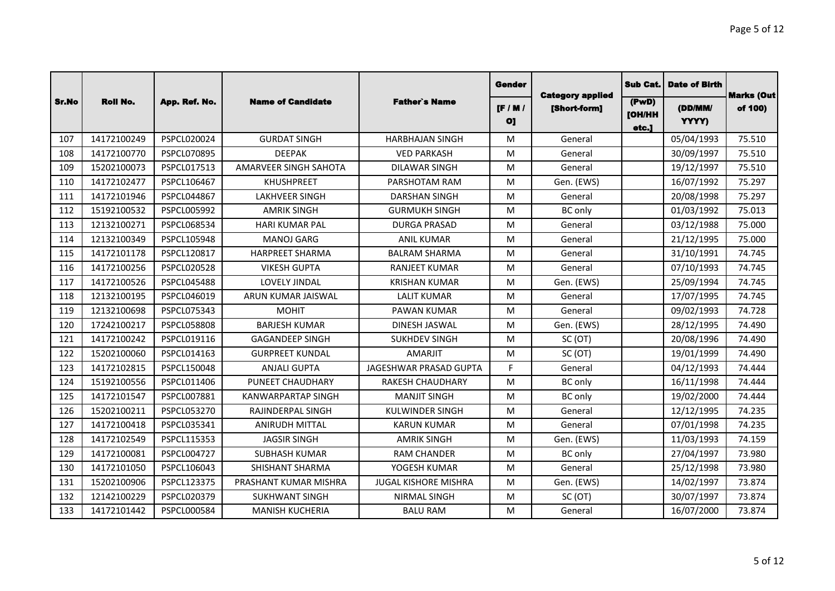|       |                 |               |                           |                             | Gender                          | <b>Category applied</b> | <b>Sub Cat.</b>                 | <b>Date of Birth</b> | <b>Marks (Out</b> |
|-------|-----------------|---------------|---------------------------|-----------------------------|---------------------------------|-------------------------|---------------------------------|----------------------|-------------------|
| Sr.No | <b>Roll No.</b> | App. Ref. No. | <b>Name of Candidate</b>  | <b>Father's Name</b>        | $[$ F / M $]$<br>O <sub>1</sub> | [Short-form]            | (PwD)<br><b>TOH/HH</b><br>etc.] | (DD/MM/<br>YYYY)     | of 100)           |
| 107   | 14172100249     | PSPCL020024   | <b>GURDAT SINGH</b>       | <b>HARBHAJAN SINGH</b>      | M                               | General                 |                                 | 05/04/1993           | 75.510            |
| 108   | 14172100770     | PSPCL070895   | <b>DEEPAK</b>             | <b>VED PARKASH</b>          | M                               | General                 |                                 | 30/09/1997           | 75.510            |
| 109   | 15202100073     | PSPCL017513   | AMARVEER SINGH SAHOTA     | <b>DILAWAR SINGH</b>        | M                               | General                 |                                 | 19/12/1997           | 75.510            |
| 110   | 14172102477     | PSPCL106467   | <b>KHUSHPREET</b>         | PARSHOTAM RAM               | M                               | Gen. (EWS)              |                                 | 16/07/1992           | 75.297            |
| 111   | 14172101946     | PSPCL044867   | <b>LAKHVEER SINGH</b>     | <b>DARSHAN SINGH</b>        | M                               | General                 |                                 | 20/08/1998           | 75.297            |
| 112   | 15192100532     | PSPCL005992   | <b>AMRIK SINGH</b>        | <b>GURMUKH SINGH</b>        | M                               | BC only                 |                                 | 01/03/1992           | 75.013            |
| 113   | 12132100271     | PSPCL068534   | <b>HARI KUMAR PAL</b>     | <b>DURGA PRASAD</b>         | M                               | General                 |                                 | 03/12/1988           | 75.000            |
| 114   | 12132100349     | PSPCL105948   | <b>MANOJ GARG</b>         | <b>ANIL KUMAR</b>           | M                               | General                 |                                 | 21/12/1995           | 75.000            |
| 115   | 14172101178     | PSPCL120817   | <b>HARPREET SHARMA</b>    | <b>BALRAM SHARMA</b>        | M                               | General                 |                                 | 31/10/1991           | 74.745            |
| 116   | 14172100256     | PSPCL020528   | <b>VIKESH GUPTA</b>       | <b>RANJEET KUMAR</b>        | M                               | General                 |                                 | 07/10/1993           | 74.745            |
| 117   | 14172100526     | PSPCL045488   | LOVELY JINDAL             | <b>KRISHAN KUMAR</b>        | M                               | Gen. (EWS)              |                                 | 25/09/1994           | 74.745            |
| 118   | 12132100195     | PSPCL046019   | ARUN KUMAR JAISWAL        | <b>LALIT KUMAR</b>          | M                               | General                 |                                 | 17/07/1995           | 74.745            |
| 119   | 12132100698     | PSPCL075343   | <b>MOHIT</b>              | <b>PAWAN KUMAR</b>          | M                               | General                 |                                 | 09/02/1993           | 74.728            |
| 120   | 17242100217     | PSPCL058808   | <b>BARJESH KUMAR</b>      | DINESH JASWAL               | M                               | Gen. (EWS)              |                                 | 28/12/1995           | 74.490            |
| 121   | 14172100242     | PSPCL019116   | <b>GAGANDEEP SINGH</b>    | <b>SUKHDEV SINGH</b>        | M                               | SC (OT)                 |                                 | 20/08/1996           | 74.490            |
| 122   | 15202100060     | PSPCL014163   | <b>GURPREET KUNDAL</b>    | <b>AMARJIT</b>              | M                               | SC (OT)                 |                                 | 19/01/1999           | 74.490            |
| 123   | 14172102815     | PSPCL150048   | <b>ANJALI GUPTA</b>       | JAGESHWAR PRASAD GUPTA      | F.                              | General                 |                                 | 04/12/1993           | 74.444            |
| 124   | 15192100556     | PSPCL011406   | PUNEET CHAUDHARY          | <b>RAKESH CHAUDHARY</b>     | M                               | <b>BC</b> only          |                                 | 16/11/1998           | 74.444            |
| 125   | 14172101547     | PSPCL007881   | <b>KANWARPARTAP SINGH</b> | <b>MANJIT SINGH</b>         | M                               | <b>BC</b> only          |                                 | 19/02/2000           | 74.444            |
| 126   | 15202100211     | PSPCL053270   | RAJINDERPAL SINGH         | <b>KULWINDER SINGH</b>      | M                               | General                 |                                 | 12/12/1995           | 74.235            |
| 127   | 14172100418     | PSPCL035341   | <b>ANIRUDH MITTAL</b>     | <b>KARUN KUMAR</b>          | M                               | General                 |                                 | 07/01/1998           | 74.235            |
| 128   | 14172102549     | PSPCL115353   | <b>JAGSIR SINGH</b>       | <b>AMRIK SINGH</b>          | M                               | Gen. (EWS)              |                                 | 11/03/1993           | 74.159            |
| 129   | 14172100081     | PSPCL004727   | <b>SUBHASH KUMAR</b>      | <b>RAM CHANDER</b>          | M                               | <b>BC</b> only          |                                 | 27/04/1997           | 73.980            |
| 130   | 14172101050     | PSPCL106043   | SHISHANT SHARMA           | YOGESH KUMAR                | M                               | General                 |                                 | 25/12/1998           | 73.980            |
| 131   | 15202100906     | PSPCL123375   | PRASHANT KUMAR MISHRA     | <b>JUGAL KISHORE MISHRA</b> | M                               | Gen. (EWS)              |                                 | 14/02/1997           | 73.874            |
| 132   | 12142100229     | PSPCL020379   | <b>SUKHWANT SINGH</b>     | <b>NIRMAL SINGH</b>         | M                               | SC (OT)                 |                                 | 30/07/1997           | 73.874            |
| 133   | 14172101442     | PSPCL000584   | <b>MANISH KUCHERIA</b>    | <b>BALU RAM</b>             | M                               | General                 |                                 | 16/07/2000           | 73.874            |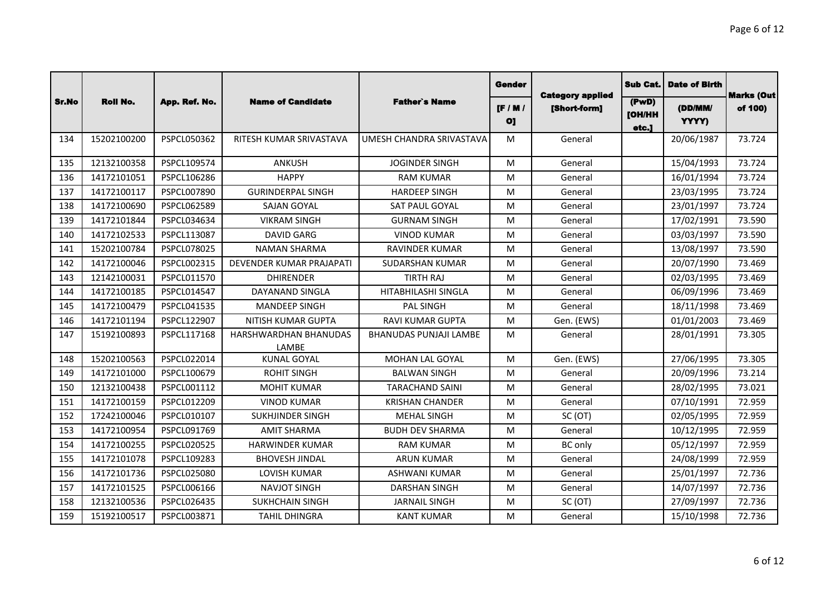|       |                 |               |                                |                               | Gender                          |                                         | <b>Sub Cat.</b>                 | <b>Date of Birth</b> |                              |
|-------|-----------------|---------------|--------------------------------|-------------------------------|---------------------------------|-----------------------------------------|---------------------------------|----------------------|------------------------------|
| Sr.No | <b>Roll No.</b> | App. Ref. No. | <b>Name of Candidate</b>       | <b>Father's Name</b>          | $[$ F / M $]$<br>O <sub>1</sub> | <b>Category applied</b><br>[Short-form] | (PwD)<br><b>[OH/HH</b><br>etc.] | (DD/MM/<br>YYYY)     | <b>Marks (Out</b><br>of 100) |
| 134   | 15202100200     | PSPCL050362   | RITESH KUMAR SRIVASTAVA        | UMESH CHANDRA SRIVASTAVA      | M                               | General                                 |                                 | 20/06/1987           | 73.724                       |
| 135   | 12132100358     | PSPCL109574   | <b>ANKUSH</b>                  | <b>JOGINDER SINGH</b>         | M                               | General                                 |                                 | 15/04/1993           | 73.724                       |
| 136   | 14172101051     | PSPCL106286   | <b>HAPPY</b>                   | <b>RAM KUMAR</b>              | M                               | General                                 |                                 | 16/01/1994           | 73.724                       |
| 137   | 14172100117     | PSPCL007890   | <b>GURINDERPAL SINGH</b>       | <b>HARDEEP SINGH</b>          | M                               | General                                 |                                 | 23/03/1995           | 73.724                       |
| 138   | 14172100690     | PSPCL062589   | <b>SAJAN GOYAL</b>             | SAT PAUL GOYAL                | M                               | General                                 |                                 | 23/01/1997           | 73.724                       |
| 139   | 14172101844     | PSPCL034634   | <b>VIKRAM SINGH</b>            | <b>GURNAM SINGH</b>           | M                               | General                                 |                                 | 17/02/1991           | 73.590                       |
| 140   | 14172102533     | PSPCL113087   | <b>DAVID GARG</b>              | <b>VINOD KUMAR</b>            | M                               | General                                 |                                 | 03/03/1997           | 73.590                       |
| 141   | 15202100784     | PSPCL078025   | <b>NAMAN SHARMA</b>            | <b>RAVINDER KUMAR</b>         | M                               | General                                 |                                 | 13/08/1997           | 73.590                       |
| 142   | 14172100046     | PSPCL002315   | DEVENDER KUMAR PRAJAPATI       | <b>SUDARSHAN KUMAR</b>        | M                               | General                                 |                                 | 20/07/1990           | 73.469                       |
| 143   | 12142100031     | PSPCL011570   | <b>DHIRENDER</b>               | <b>TIRTH RAJ</b>              | M                               | General                                 |                                 | 02/03/1995           | 73.469                       |
| 144   | 14172100185     | PSPCL014547   | DAYANAND SINGLA                | HITABHILASHI SINGLA           | M                               | General                                 |                                 | 06/09/1996           | 73.469                       |
| 145   | 14172100479     | PSPCL041535   | <b>MANDEEP SINGH</b>           | <b>PAL SINGH</b>              | M                               | General                                 |                                 | 18/11/1998           | 73.469                       |
| 146   | 14172101194     | PSPCL122907   | NITISH KUMAR GUPTA             | <b>RAVI KUMAR GUPTA</b>       | M                               | Gen. (EWS)                              |                                 | 01/01/2003           | 73.469                       |
| 147   | 15192100893     | PSPCL117168   | HARSHWARDHAN BHANUDAS<br>LAMBE | <b>BHANUDAS PUNJAJI LAMBE</b> | M                               | General                                 |                                 | 28/01/1991           | 73.305                       |
| 148   | 15202100563     | PSPCL022014   | <b>KUNAL GOYAL</b>             | MOHAN LAL GOYAL               | M                               | Gen. (EWS)                              |                                 | 27/06/1995           | 73.305                       |
| 149   | 14172101000     | PSPCL100679   | <b>ROHIT SINGH</b>             | <b>BALWAN SINGH</b>           | M                               | General                                 |                                 | 20/09/1996           | 73.214                       |
| 150   | 12132100438     | PSPCL001112   | <b>MOHIT KUMAR</b>             | <b>TARACHAND SAINI</b>        | M                               | General                                 |                                 | 28/02/1995           | 73.021                       |
| 151   | 14172100159     | PSPCL012209   | <b>VINOD KUMAR</b>             | <b>KRISHAN CHANDER</b>        | M                               | General                                 |                                 | 07/10/1991           | 72.959                       |
| 152   | 17242100046     | PSPCL010107   | <b>SUKHJINDER SINGH</b>        | <b>MEHAL SINGH</b>            | M                               | SC (OT)                                 |                                 | 02/05/1995           | 72.959                       |
| 153   | 14172100954     | PSPCL091769   | <b>AMIT SHARMA</b>             | <b>BUDH DEV SHARMA</b>        | M                               | General                                 |                                 | 10/12/1995           | 72.959                       |
| 154   | 14172100255     | PSPCL020525   | <b>HARWINDER KUMAR</b>         | <b>RAM KUMAR</b>              | M                               | <b>BC</b> only                          |                                 | 05/12/1997           | 72.959                       |
| 155   | 14172101078     | PSPCL109283   | <b>BHOVESH JINDAL</b>          | <b>ARUN KUMAR</b>             | M                               | General                                 |                                 | 24/08/1999           | 72.959                       |
| 156   | 14172101736     | PSPCL025080   | <b>LOVISH KUMAR</b>            | <b>ASHWANI KUMAR</b>          | M                               | General                                 |                                 | 25/01/1997           | 72.736                       |
| 157   | 14172101525     | PSPCL006166   | <b>NAVJOT SINGH</b>            | <b>DARSHAN SINGH</b>          | M                               | General                                 |                                 | 14/07/1997           | 72.736                       |
| 158   | 12132100536     | PSPCL026435   | <b>SUKHCHAIN SINGH</b>         | <b>JARNAIL SINGH</b>          | M                               | SC (OT)                                 |                                 | 27/09/1997           | 72.736                       |
| 159   | 15192100517     | PSPCL003871   | <b>TAHIL DHINGRA</b>           | <b>KANT KUMAR</b>             | M                               | General                                 |                                 | 15/10/1998           | 72.736                       |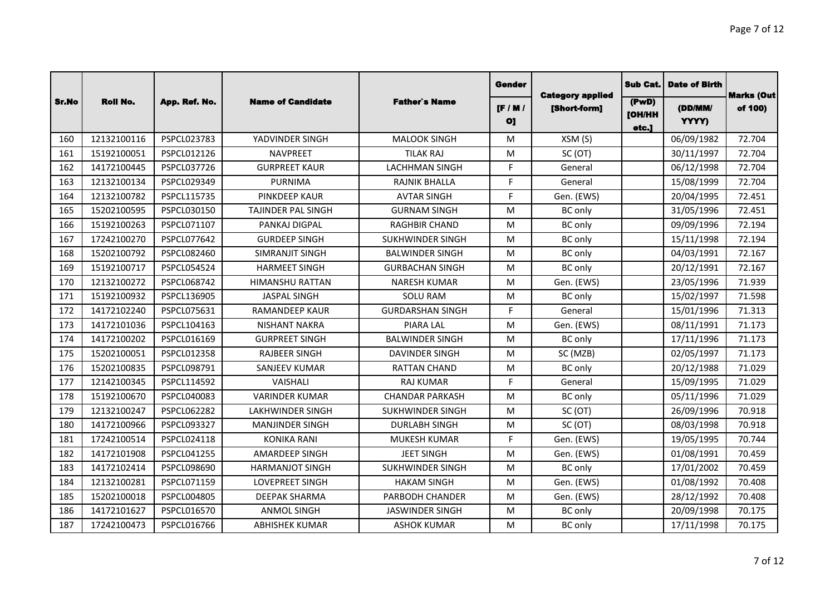|       |                 |               |                           |                         | Gender                        | <b>Category applied</b> | Sub Cat.                        | <b>Date of Birth</b> | <b>Marks (Out</b> |
|-------|-----------------|---------------|---------------------------|-------------------------|-------------------------------|-------------------------|---------------------------------|----------------------|-------------------|
| Sr.No | <b>Roll No.</b> | App. Ref. No. | <b>Name of Candidate</b>  | <b>Father's Name</b>    | $[$ F / M /<br>O <sub>1</sub> | [Short-form]            | (PwD)<br><b>[OH/HH</b><br>etc.] | (DD/MM/<br>YYYY)     | of 100)           |
| 160   | 12132100116     | PSPCL023783   | YADVINDER SINGH           | <b>MALOOK SINGH</b>     | M                             | XSM(S)                  |                                 | 06/09/1982           | 72.704            |
| 161   | 15192100051     | PSPCL012126   | <b>NAVPREET</b>           | <b>TILAK RAJ</b>        | M                             | SC (OT)                 |                                 | 30/11/1997           | 72.704            |
| 162   | 14172100445     | PSPCL037726   | <b>GURPREET KAUR</b>      | <b>LACHHMAN SINGH</b>   | F.                            | General                 |                                 | 06/12/1998           | 72.704            |
| 163   | 12132100134     | PSPCL029349   | <b>PURNIMA</b>            | <b>RAJNIK BHALLA</b>    | F.                            | General                 |                                 | 15/08/1999           | 72.704            |
| 164   | 12132100782     | PSPCL115735   | <b>PINKDEEP KAUR</b>      | <b>AVTAR SINGH</b>      | F.                            | Gen. (EWS)              |                                 | 20/04/1995           | 72.451            |
| 165   | 15202100595     | PSPCL030150   | <b>TAJINDER PAL SINGH</b> | <b>GURNAM SINGH</b>     | M                             | <b>BC</b> only          |                                 | 31/05/1996           | 72.451            |
| 166   | 15192100263     | PSPCL071107   | <b>PANKAJ DIGPAL</b>      | <b>RAGHBIR CHAND</b>    | M                             | <b>BC</b> only          |                                 | 09/09/1996           | 72.194            |
| 167   | 17242100270     | PSPCL077642   | <b>GURDEEP SINGH</b>      | <b>SUKHWINDER SINGH</b> | M                             | <b>BC</b> only          |                                 | 15/11/1998           | 72.194            |
| 168   | 15202100792     | PSPCL082460   | SIMRANJIT SINGH           | <b>BALWINDER SINGH</b>  | M                             | <b>BC</b> only          |                                 | 04/03/1991           | 72.167            |
| 169   | 15192100717     | PSPCL054524   | <b>HARMEET SINGH</b>      | <b>GURBACHAN SINGH</b>  | M                             | <b>BC</b> only          |                                 | 20/12/1991           | 72.167            |
| 170   | 12132100272     | PSPCL068742   | <b>HIMANSHU RATTAN</b>    | <b>NARESH KUMAR</b>     | M                             | Gen. (EWS)              |                                 | 23/05/1996           | 71.939            |
| 171   | 15192100932     | PSPCL136905   | <b>JASPAL SINGH</b>       | <b>SOLU RAM</b>         | M                             | <b>BC</b> only          |                                 | 15/02/1997           | 71.598            |
| 172   | 14172102240     | PSPCL075631   | RAMANDEEP KAUR            | <b>GURDARSHAN SINGH</b> | F.                            | General                 |                                 | 15/01/1996           | 71.313            |
| 173   | 14172101036     | PSPCL104163   | <b>NISHANT NAKRA</b>      | <b>PIARA LAL</b>        | M                             | Gen. (EWS)              |                                 | 08/11/1991           | 71.173            |
| 174   | 14172100202     | PSPCL016169   | <b>GURPREET SINGH</b>     | <b>BALWINDER SINGH</b>  | M                             | <b>BC</b> only          |                                 | 17/11/1996           | 71.173            |
| 175   | 15202100051     | PSPCL012358   | <b>RAJBEER SINGH</b>      | <b>DAVINDER SINGH</b>   | M                             | SC (MZB)                |                                 | 02/05/1997           | 71.173            |
| 176   | 15202100835     | PSPCL098791   | <b>SANJEEV KUMAR</b>      | <b>RATTAN CHAND</b>     | M                             | <b>BC</b> only          |                                 | 20/12/1988           | 71.029            |
| 177   | 12142100345     | PSPCL114592   | VAISHALI                  | <b>RAJ KUMAR</b>        | F.                            | General                 |                                 | 15/09/1995           | 71.029            |
| 178   | 15192100670     | PSPCL040083   | <b>VARINDER KUMAR</b>     | <b>CHANDAR PARKASH</b>  | M                             | <b>BC</b> only          |                                 | 05/11/1996           | 71.029            |
| 179   | 12132100247     | PSPCL062282   | <b>LAKHWINDER SINGH</b>   | SUKHWINDER SINGH        | M                             | SC (OT)                 |                                 | 26/09/1996           | 70.918            |
| 180   | 14172100966     | PSPCL093327   | <b>MANJINDER SINGH</b>    | <b>DURLABH SINGH</b>    | M                             | SC (OT)                 |                                 | 08/03/1998           | 70.918            |
| 181   | 17242100514     | PSPCL024118   | <b>KONIKA RANI</b>        | MUKESH KUMAR            | F.                            | Gen. (EWS)              |                                 | 19/05/1995           | 70.744            |
| 182   | 14172101908     | PSPCL041255   | <b>AMARDEEP SINGH</b>     | <b>JEET SINGH</b>       | M                             | Gen. (EWS)              |                                 | 01/08/1991           | 70.459            |
| 183   | 14172102414     | PSPCL098690   | <b>HARMANJOT SINGH</b>    | <b>SUKHWINDER SINGH</b> | M                             | <b>BC</b> only          |                                 | 17/01/2002           | 70.459            |
| 184   | 12132100281     | PSPCL071159   | <b>LOVEPREET SINGH</b>    | <b>HAKAM SINGH</b>      | M                             | Gen. (EWS)              |                                 | 01/08/1992           | 70.408            |
| 185   | 15202100018     | PSPCL004805   | <b>DEEPAK SHARMA</b>      | PARBODH CHANDER         | M                             | Gen. (EWS)              |                                 | 28/12/1992           | 70.408            |
| 186   | 14172101627     | PSPCL016570   | <b>ANMOL SINGH</b>        | <b>JASWINDER SINGH</b>  | M                             | <b>BC</b> only          |                                 | 20/09/1998           | 70.175            |
| 187   | 17242100473     | PSPCL016766   | <b>ABHISHEK KUMAR</b>     | <b>ASHOK KUMAR</b>      | M                             | BC only                 |                                 | 17/11/1998           | 70.175            |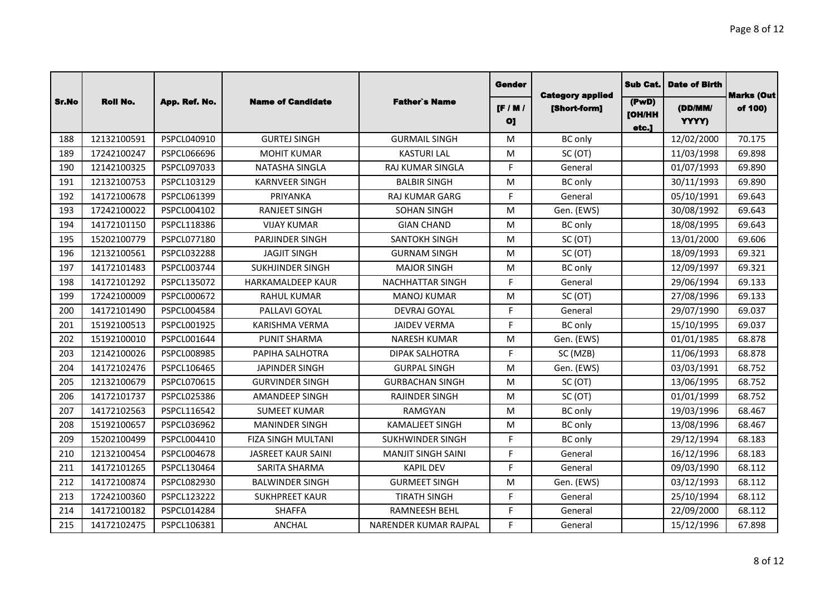|       |                 |               |                           |                           | Gender                        | <b>Category applied</b> | Sub Cat.                        | <b>Date of Birth</b> | <b>Marks (Out</b> |
|-------|-----------------|---------------|---------------------------|---------------------------|-------------------------------|-------------------------|---------------------------------|----------------------|-------------------|
| Sr.No | <b>Roll No.</b> | App. Ref. No. | <b>Name of Candidate</b>  | <b>Father's Name</b>      | $[$ F / M /<br>O <sub>1</sub> | [Short-form]            | (PwD)<br><b>[OH/HH</b><br>etc.] | (DD/MM/<br>YYYY)     | of 100)           |
| 188   | 12132100591     | PSPCL040910   | <b>GURTEJ SINGH</b>       | <b>GURMAIL SINGH</b>      | M                             | <b>BC</b> only          |                                 | 12/02/2000           | 70.175            |
| 189   | 17242100247     | PSPCL066696   | <b>MOHIT KUMAR</b>        | <b>KASTURI LAL</b>        | M                             | SC (OT)                 |                                 | 11/03/1998           | 69.898            |
| 190   | 12142100325     | PSPCL097033   | NATASHA SINGLA            | RAJ KUMAR SINGLA          | F.                            | General                 |                                 | 01/07/1993           | 69.890            |
| 191   | 12132100753     | PSPCL103129   | <b>KARNVEER SINGH</b>     | <b>BALBIR SINGH</b>       | M                             | <b>BC</b> only          |                                 | 30/11/1993           | 69.890            |
| 192   | 14172100678     | PSPCL061399   | PRIYANKA                  | <b>RAJ KUMAR GARG</b>     | F.                            | General                 |                                 | 05/10/1991           | 69.643            |
| 193   | 17242100022     | PSPCL004102   | <b>RANJEET SINGH</b>      | <b>SOHAN SINGH</b>        | M                             | Gen. (EWS)              |                                 | 30/08/1992           | 69.643            |
| 194   | 14172101150     | PSPCL118386   | <b>VIJAY KUMAR</b>        | <b>GIAN CHAND</b>         | M                             | <b>BC</b> only          |                                 | 18/08/1995           | 69.643            |
| 195   | 15202100779     | PSPCL077180   | PARJINDER SINGH           | SANTOKH SINGH             | M                             | SC (OT)                 |                                 | 13/01/2000           | 69.606            |
| 196   | 12132100561     | PSPCL032288   | <b>JAGJIT SINGH</b>       | <b>GURNAM SINGH</b>       | M                             | SC (OT)                 |                                 | 18/09/1993           | 69.321            |
| 197   | 14172101483     | PSPCL003744   | <b>SUKHJINDER SINGH</b>   | <b>MAJOR SINGH</b>        | M                             | <b>BC</b> only          |                                 | 12/09/1997           | 69.321            |
| 198   | 14172101292     | PSPCL135072   | <b>HARKAMALDEEP KAUR</b>  | <b>NACHHATTAR SINGH</b>   | F.                            | General                 |                                 | 29/06/1994           | 69.133            |
| 199   | 17242100009     | PSPCL000672   | <b>RAHUL KUMAR</b>        | <b>MANOJ KUMAR</b>        | M                             | SC (OT)                 |                                 | 27/08/1996           | 69.133            |
| 200   | 14172101490     | PSPCL004584   | PALLAVI GOYAL             | <b>DEVRAJ GOYAL</b>       | F.                            | General                 |                                 | 29/07/1990           | 69.037            |
| 201   | 15192100513     | PSPCL001925   | <b>KARISHMA VERMA</b>     | <b>JAIDEV VERMA</b>       | F.                            | BC only                 |                                 | 15/10/1995           | 69.037            |
| 202   | 15192100010     | PSPCL001644   | <b>PUNIT SHARMA</b>       | <b>NARESH KUMAR</b>       | M                             | Gen. (EWS)              |                                 | 01/01/1985           | 68.878            |
| 203   | 12142100026     | PSPCL008985   | PAPIHA SALHOTRA           | <b>DIPAK SALHOTRA</b>     | F.                            | SC (MZB)                |                                 | 11/06/1993           | 68.878            |
| 204   | 14172102476     | PSPCL106465   | <b>JAPINDER SINGH</b>     | <b>GURPAL SINGH</b>       | M                             | Gen. (EWS)              |                                 | 03/03/1991           | 68.752            |
| 205   | 12132100679     | PSPCL070615   | <b>GURVINDER SINGH</b>    | <b>GURBACHAN SINGH</b>    | M                             | SC (OT)                 |                                 | 13/06/1995           | 68.752            |
| 206   | 14172101737     | PSPCL025386   | <b>AMANDEEP SINGH</b>     | <b>RAJINDER SINGH</b>     | M                             | SC (OT)                 |                                 | 01/01/1999           | 68.752            |
| 207   | 14172102563     | PSPCL116542   | <b>SUMEET KUMAR</b>       | <b>RAMGYAN</b>            | M                             | <b>BC</b> only          |                                 | 19/03/1996           | 68.467            |
| 208   | 15192100657     | PSPCL036962   | <b>MANINDER SINGH</b>     | <b>KAMALJEET SINGH</b>    | M                             | <b>BC</b> only          |                                 | 13/08/1996           | 68.467            |
| 209   | 15202100499     | PSPCL004410   | FIZA SINGH MULTANI        | <b>SUKHWINDER SINGH</b>   | F.                            | <b>BC</b> only          |                                 | 29/12/1994           | 68.183            |
| 210   | 12132100454     | PSPCL004678   | <b>JASREET KAUR SAINI</b> | <b>MANJIT SINGH SAINI</b> | F.                            | General                 |                                 | 16/12/1996           | 68.183            |
| 211   | 14172101265     | PSPCL130464   | SARITA SHARMA             | <b>KAPIL DEV</b>          | F.                            | General                 |                                 | 09/03/1990           | 68.112            |
| 212   | 14172100874     | PSPCL082930   | <b>BALWINDER SINGH</b>    | <b>GURMEET SINGH</b>      | M                             | Gen. (EWS)              |                                 | 03/12/1993           | 68.112            |
| 213   | 17242100360     | PSPCL123222   | <b>SUKHPREET KAUR</b>     | <b>TIRATH SINGH</b>       | F.                            | General                 |                                 | 25/10/1994           | 68.112            |
| 214   | 14172100182     | PSPCL014284   | <b>SHAFFA</b>             | RAMNEESH BEHL             | E                             | General                 |                                 | 22/09/2000           | 68.112            |
| 215   | 14172102475     | PSPCL106381   | <b>ANCHAL</b>             | NARENDER KUMAR RAJPAL     | F.                            | General                 |                                 | 15/12/1996           | 67.898            |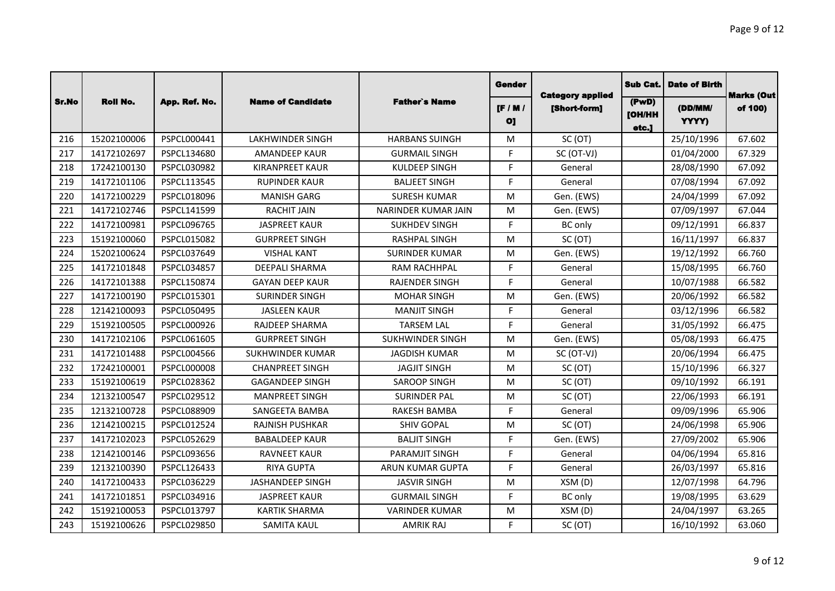|       |                 |               |                          |                         | <b>Gender</b>                 |                                         | Sub Cat.                        | <b>Date of Birth</b> | <b>Marks (Out</b> |
|-------|-----------------|---------------|--------------------------|-------------------------|-------------------------------|-----------------------------------------|---------------------------------|----------------------|-------------------|
| Sr.No | <b>Roll No.</b> | App. Ref. No. | <b>Name of Candidate</b> | <b>Father's Name</b>    | $[$ F / M /<br>O <sub>1</sub> | <b>Category applied</b><br>[Short-form] | (PwD)<br><b>[OH/HH</b><br>etc.] | (DD/MM/<br>YYYY)     | of 100)           |
| 216   | 15202100006     | PSPCL000441   | <b>LAKHWINDER SINGH</b>  | <b>HARBANS SUINGH</b>   | M                             | SC (OT)                                 |                                 | 25/10/1996           | 67.602            |
| 217   | 14172102697     | PSPCL134680   | <b>AMANDEEP KAUR</b>     | <b>GURMAIL SINGH</b>    | F.                            | SC (OT-VJ)                              |                                 | 01/04/2000           | 67.329            |
| 218   | 17242100130     | PSPCL030982   | <b>KIRANPREET KAUR</b>   | <b>KULDEEP SINGH</b>    | F.                            | General                                 |                                 | 28/08/1990           | 67.092            |
| 219   | 14172101106     | PSPCL113545   | <b>RUPINDER KAUR</b>     | <b>BALJEET SINGH</b>    | F.                            | General                                 |                                 | 07/08/1994           | 67.092            |
| 220   | 14172100229     | PSPCL018096   | <b>MANISH GARG</b>       | <b>SURESH KUMAR</b>     | M                             | Gen. (EWS)                              |                                 | 24/04/1999           | 67.092            |
| 221   | 14172102746     | PSPCL141599   | <b>RACHIT JAIN</b>       | NARINDER KUMAR JAIN     | M                             | Gen. (EWS)                              |                                 | 07/09/1997           | 67.044            |
| 222   | 14172100981     | PSPCL096765   | <b>JASPREET KAUR</b>     | <b>SUKHDEV SINGH</b>    | F.                            | <b>BC</b> only                          |                                 | 09/12/1991           | 66.837            |
| 223   | 15192100060     | PSPCL015082   | <b>GURPREET SINGH</b>    | <b>RASHPAL SINGH</b>    | M                             | SC (OT)                                 |                                 | 16/11/1997           | 66.837            |
| 224   | 15202100624     | PSPCL037649   | <b>VISHAL KANT</b>       | <b>SURINDER KUMAR</b>   | M                             | Gen. (EWS)                              |                                 | 19/12/1992           | 66.760            |
| 225   | 14172101848     | PSPCL034857   | <b>DEEPALI SHARMA</b>    | RAM RACHHPAL            | F.                            | General                                 |                                 | 15/08/1995           | 66.760            |
| 226   | 14172101388     | PSPCL150874   | <b>GAYAN DEEP KAUR</b>   | <b>RAJENDER SINGH</b>   | F.                            | General                                 |                                 | 10/07/1988           | 66.582            |
| 227   | 14172100190     | PSPCL015301   | <b>SURINDER SINGH</b>    | <b>MOHAR SINGH</b>      | M                             | Gen. (EWS)                              |                                 | 20/06/1992           | 66.582            |
| 228   | 12142100093     | PSPCL050495   | <b>JASLEEN KAUR</b>      | <b>MANJIT SINGH</b>     | F.                            | General                                 |                                 | 03/12/1996           | 66.582            |
| 229   | 15192100505     | PSPCL000926   | <b>RAJDEEP SHARMA</b>    | <b>TARSEM LAL</b>       | F.                            | General                                 |                                 | 31/05/1992           | 66.475            |
| 230   | 14172102106     | PSPCL061605   | <b>GURPREET SINGH</b>    | <b>SUKHWINDER SINGH</b> | M                             | Gen. (EWS)                              |                                 | 05/08/1993           | 66.475            |
| 231   | 14172101488     | PSPCL004566   | <b>SUKHWINDER KUMAR</b>  | <b>JAGDISH KUMAR</b>    | M                             | SC (OT-VJ)                              |                                 | 20/06/1994           | 66.475            |
| 232   | 17242100001     | PSPCL000008   | <b>CHANPREET SINGH</b>   | <b>JAGJIT SINGH</b>     | M                             | SC (OT)                                 |                                 | 15/10/1996           | 66.327            |
| 233   | 15192100619     | PSPCL028362   | <b>GAGANDEEP SINGH</b>   | <b>SAROOP SINGH</b>     | M                             | SC (OT)                                 |                                 | 09/10/1992           | 66.191            |
| 234   | 12132100547     | PSPCL029512   | <b>MANPREET SINGH</b>    | <b>SURINDER PAL</b>     | M                             | SC (OT)                                 |                                 | 22/06/1993           | 66.191            |
| 235   | 12132100728     | PSPCL088909   | SANGEETA BAMBA           | <b>RAKESH BAMBA</b>     | F.                            | General                                 |                                 | 09/09/1996           | 65.906            |
| 236   | 12142100215     | PSPCL012524   | <b>RAJNISH PUSHKAR</b>   | <b>SHIV GOPAL</b>       | M                             | SC (OT)                                 |                                 | 24/06/1998           | 65.906            |
| 237   | 14172102023     | PSPCL052629   | <b>BABALDEEP KAUR</b>    | <b>BALJIT SINGH</b>     | F.                            | Gen. (EWS)                              |                                 | 27/09/2002           | 65.906            |
| 238   | 12142100146     | PSPCL093656   | <b>RAVNEET KAUR</b>      | PARAMJIT SINGH          | F.                            | General                                 |                                 | 04/06/1994           | 65.816            |
| 239   | 12132100390     | PSPCL126433   | <b>RIYA GUPTA</b>        | <b>ARUN KUMAR GUPTA</b> | F.                            | General                                 |                                 | 26/03/1997           | 65.816            |
| 240   | 14172100433     | PSPCL036229   | <b>JASHANDEEP SINGH</b>  | <b>JASVIR SINGH</b>     | M                             | XSM(D)                                  |                                 | 12/07/1998           | 64.796            |
| 241   | 14172101851     | PSPCL034916   | <b>JASPREET KAUR</b>     | <b>GURMAIL SINGH</b>    | F.                            | <b>BC</b> only                          |                                 | 19/08/1995           | 63.629            |
| 242   | 15192100053     | PSPCL013797   | <b>KARTIK SHARMA</b>     | <b>VARINDER KUMAR</b>   | M                             | XSM(D)                                  |                                 | 24/04/1997           | 63.265            |
| 243   | 15192100626     | PSPCL029850   | <b>SAMITA KAUL</b>       | <b>AMRIK RAJ</b>        | F.                            | SC(OT)                                  |                                 | 16/10/1992           | 63.060            |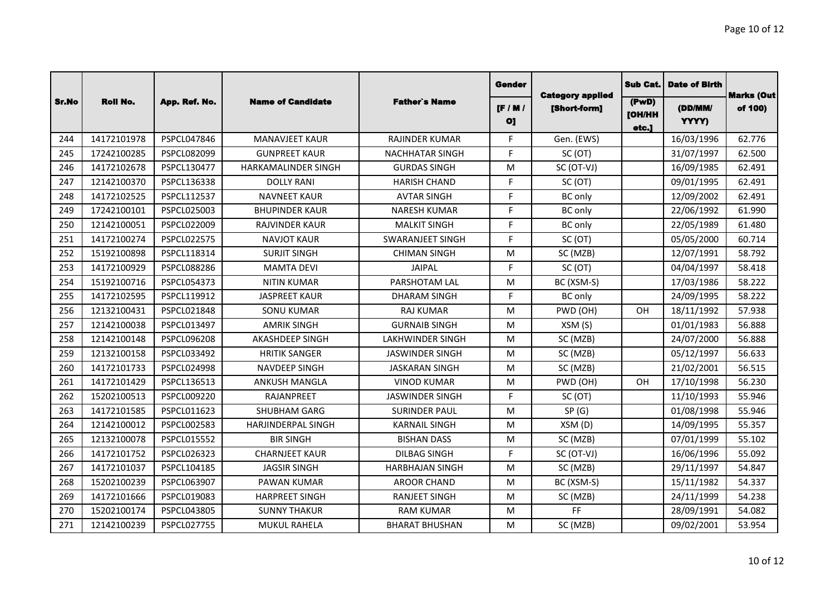|       |                 |                    |                           |                         | Gender                        |                                         | <b>Sub Cat.</b>                 | <b>Date of Birth</b> | <b>Marks (Out</b> |
|-------|-----------------|--------------------|---------------------------|-------------------------|-------------------------------|-----------------------------------------|---------------------------------|----------------------|-------------------|
| Sr.No | <b>Roll No.</b> | App. Ref. No.      | <b>Name of Candidate</b>  | <b>Father's Name</b>    | $[$ F / M /<br>O <sub>1</sub> | <b>Category applied</b><br>[Short-form] | (PwD)<br><b>[OH/HH</b><br>etc.] | (DD/MM/<br>YYYY)     | of 100)           |
| 244   | 14172101978     | PSPCL047846        | <b>MANAVJEET KAUR</b>     | <b>RAJINDER KUMAR</b>   | F.                            | Gen. (EWS)                              |                                 | 16/03/1996           | 62.776            |
| 245   | 17242100285     | PSPCL082099        | <b>GUNPREET KAUR</b>      | <b>NACHHATAR SINGH</b>  | F.                            | SC (OT)                                 |                                 | 31/07/1997           | 62.500            |
| 246   | 14172102678     | PSPCL130477        | HARKAMALINDER SINGH       | <b>GURDAS SINGH</b>     | M                             | SC (OT-VJ)                              |                                 | 16/09/1985           | 62.491            |
| 247   | 12142100370     | PSPCL136338        | <b>DOLLY RANI</b>         | <b>HARISH CHAND</b>     | F.                            | SC (OT)                                 |                                 | 09/01/1995           | 62.491            |
| 248   | 14172102525     | PSPCL112537        | <b>NAVNEET KAUR</b>       | <b>AVTAR SINGH</b>      | F.                            | <b>BC</b> only                          |                                 | 12/09/2002           | 62.491            |
| 249   | 17242100101     | PSPCL025003        | <b>BHUPINDER KAUR</b>     | <b>NARESH KUMAR</b>     | F.                            | BC only                                 |                                 | 22/06/1992           | 61.990            |
| 250   | 12142100051     | PSPCL022009        | <b>RAJVINDER KAUR</b>     | <b>MALKIT SINGH</b>     | F.                            | <b>BC</b> only                          |                                 | 22/05/1989           | 61.480            |
| 251   | 14172100274     | PSPCL022575        | <b>NAVJOT KAUR</b>        | <b>SWARANJEET SINGH</b> | E                             | SC (OT)                                 |                                 | 05/05/2000           | 60.714            |
| 252   | 15192100898     | PSPCL118314        | <b>SURJIT SINGH</b>       | <b>CHIMAN SINGH</b>     | M                             | SC (MZB)                                |                                 | 12/07/1991           | 58.792            |
| 253   | 14172100929     | PSPCL088286        | <b>MAMTA DEVI</b>         | <b>JAIPAL</b>           | F.                            | SC (OT)                                 |                                 | 04/04/1997           | 58.418            |
| 254   | 15192100716     | PSPCL054373        | <b>NITIN KUMAR</b>        | PARSHOTAM LAL           | M                             | BC (XSM-S)                              |                                 | 17/03/1986           | 58.222            |
| 255   | 14172102595     | PSPCL119912        | <b>JASPREET KAUR</b>      | <b>DHARAM SINGH</b>     | F.                            | <b>BC</b> only                          |                                 | 24/09/1995           | 58.222            |
| 256   | 12132100431     | PSPCL021848        | <b>SONU KUMAR</b>         | <b>RAJ KUMAR</b>        | M                             | PWD (OH)                                | OH                              | 18/11/1992           | 57.938            |
| 257   | 12142100038     | PSPCL013497        | <b>AMRIK SINGH</b>        | <b>GURNAIB SINGH</b>    | M                             | XSM(S)                                  |                                 | 01/01/1983           | 56.888            |
| 258   | 12142100148     | PSPCL096208        | <b>AKASHDEEP SINGH</b>    | <b>LAKHWINDER SINGH</b> | M                             | SC (MZB)                                |                                 | 24/07/2000           | 56.888            |
| 259   | 12132100158     | PSPCL033492        | <b>HRITIK SANGER</b>      | <b>JASWINDER SINGH</b>  | M                             | SC (MZB)                                |                                 | 05/12/1997           | 56.633            |
| 260   | 14172101733     | PSPCL024998        | NAVDEEP SINGH             | <b>JASKARAN SINGH</b>   | M                             | SC (MZB)                                |                                 | 21/02/2001           | 56.515            |
| 261   | 14172101429     | PSPCL136513        | ANKUSH MANGLA             | <b>VINOD KUMAR</b>      | M                             | PWD (OH)                                | OΗ                              | 17/10/1998           | 56.230            |
| 262   | 15202100513     | PSPCL009220        | <b>RAJANPREET</b>         | <b>JASWINDER SINGH</b>  | F.                            | SC (OT)                                 |                                 | 11/10/1993           | 55.946            |
| 263   | 14172101585     | PSPCL011623        | <b>SHUBHAM GARG</b>       | <b>SURINDER PAUL</b>    | M                             | SP(G)                                   |                                 | 01/08/1998           | 55.946            |
| 264   | 12142100012     | PSPCL002583        | <b>HARJINDERPAL SINGH</b> | <b>KARNAIL SINGH</b>    | M                             | XSM(D)                                  |                                 | 14/09/1995           | 55.357            |
| 265   | 12132100078     | PSPCL015552        | <b>BIR SINGH</b>          | <b>BISHAN DASS</b>      | M                             | SC (MZB)                                |                                 | 07/01/1999           | 55.102            |
| 266   | 14172101752     | PSPCL026323        | <b>CHARNJEET KAUR</b>     | <b>DILBAG SINGH</b>     | F.                            | SC (OT-VJ)                              |                                 | 16/06/1996           | 55.092            |
| 267   | 14172101037     | PSPCL104185        | <b>JAGSIR SINGH</b>       | <b>HARBHAJAN SINGH</b>  | M                             | SC (MZB)                                |                                 | 29/11/1997           | 54.847            |
| 268   | 15202100239     | PSPCL063907        | PAWAN KUMAR               | <b>AROOR CHAND</b>      | M                             | BC (XSM-S)                              |                                 | 15/11/1982           | 54.337            |
| 269   | 14172101666     | PSPCL019083        | <b>HARPREET SINGH</b>     | <b>RANJEET SINGH</b>    | M                             | SC (MZB)                                |                                 | 24/11/1999           | 54.238            |
| 270   | 15202100174     | PSPCL043805        | <b>SUNNY THAKUR</b>       | <b>RAM KUMAR</b>        | M                             | <b>FF</b>                               |                                 | 28/09/1991           | 54.082            |
| 271   | 12142100239     | <b>PSPCL027755</b> | <b>MUKUL RAHELA</b>       | <b>BHARAT BHUSHAN</b>   | M                             | SC (MZB)                                |                                 | 09/02/2001           | 53.954            |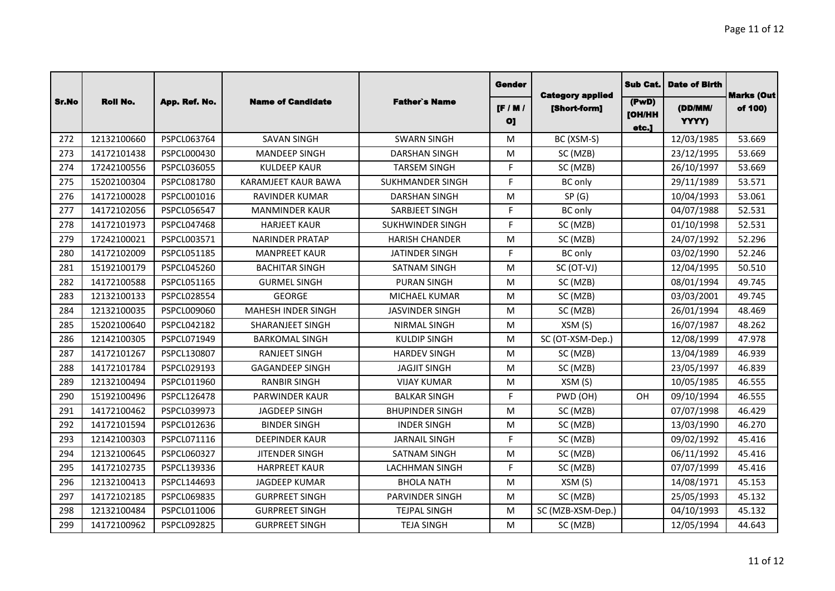|       |                 |               |                            |                         | Gender                        |                                         | <b>Sub Cat.</b>                     | <b>Date of Birth</b> | <b>Marks (Out</b> |
|-------|-----------------|---------------|----------------------------|-------------------------|-------------------------------|-----------------------------------------|-------------------------------------|----------------------|-------------------|
| Sr.No | <b>Roll No.</b> | App. Ref. No. | <b>Name of Candidate</b>   | <b>Father's Name</b>    | $[$ F / M /<br>O <sub>1</sub> | <b>Category applied</b><br>[Short-form] | ( P w D )<br><b>[OH/HH</b><br>etc.] | (DD/MM/<br>YYYY)     | of 100)           |
| 272   | 12132100660     | PSPCL063764   | <b>SAVAN SINGH</b>         | <b>SWARN SINGH</b>      | M                             | BC (XSM-S)                              |                                     | 12/03/1985           | 53.669            |
| 273   | 14172101438     | PSPCL000430   | <b>MANDEEP SINGH</b>       | <b>DARSHAN SINGH</b>    | M                             | SC (MZB)                                |                                     | 23/12/1995           | 53.669            |
| 274   | 17242100556     | PSPCL036055   | <b>KULDEEP KAUR</b>        | <b>TARSEM SINGH</b>     | F.                            | SC (MZB)                                |                                     | 26/10/1997           | 53.669            |
| 275   | 15202100304     | PSPCL081780   | <b>KARAMJEET KAUR BAWA</b> | <b>SUKHMANDER SINGH</b> | F.                            | BC only                                 |                                     | 29/11/1989           | 53.571            |
| 276   | 14172100028     | PSPCL001016   | <b>RAVINDER KUMAR</b>      | <b>DARSHAN SINGH</b>    | M                             | SP(G)                                   |                                     | 10/04/1993           | 53.061            |
| 277   | 14172102056     | PSPCL056547   | <b>MANMINDER KAUR</b>      | SARBJEET SINGH          | F.                            | <b>BC</b> only                          |                                     | 04/07/1988           | 52.531            |
| 278   | 14172101973     | PSPCL047468   | <b>HARJEET KAUR</b>        | <b>SUKHWINDER SINGH</b> | F.                            | SC (MZB)                                |                                     | 01/10/1998           | 52.531            |
| 279   | 17242100021     | PSPCL003571   | <b>NARINDER PRATAP</b>     | <b>HARISH CHANDER</b>   | M                             | SC (MZB)                                |                                     | 24/07/1992           | 52.296            |
| 280   | 14172102009     | PSPCL051185   | <b>MANPREET KAUR</b>       | <b>JATINDER SINGH</b>   | F.                            | <b>BC</b> only                          |                                     | 03/02/1990           | 52.246            |
| 281   | 15192100179     | PSPCL045260   | <b>BACHITAR SINGH</b>      | <b>SATNAM SINGH</b>     | M                             | SC (OT-VJ)                              |                                     | 12/04/1995           | 50.510            |
| 282   | 14172100588     | PSPCL051165   | <b>GURMEL SINGH</b>        | <b>PURAN SINGH</b>      | M                             | SC (MZB)                                |                                     | 08/01/1994           | 49.745            |
| 283   | 12132100133     | PSPCL028554   | <b>GEORGE</b>              | MICHAEL KUMAR           | M                             | SC (MZB)                                |                                     | 03/03/2001           | 49.745            |
| 284   | 12132100035     | PSPCL009060   | <b>MAHESH INDER SINGH</b>  | <b>JASVINDER SINGH</b>  | M                             | SC (MZB)                                |                                     | 26/01/1994           | 48.469            |
| 285   | 15202100640     | PSPCL042182   | <b>SHARANJEET SINGH</b>    | <b>NIRMAL SINGH</b>     | M                             | XSM(S)                                  |                                     | 16/07/1987           | 48.262            |
| 286   | 12142100305     | PSPCL071949   | <b>BARKOMAL SINGH</b>      | <b>KULDIP SINGH</b>     | M                             | SC (OT-XSM-Dep.)                        |                                     | 12/08/1999           | 47.978            |
| 287   | 14172101267     | PSPCL130807   | <b>RANJEET SINGH</b>       | <b>HARDEV SINGH</b>     | M                             | SC (MZB)                                |                                     | 13/04/1989           | 46.939            |
| 288   | 14172101784     | PSPCL029193   | <b>GAGANDEEP SINGH</b>     | <b>JAGJIT SINGH</b>     | M                             | SC (MZB)                                |                                     | 23/05/1997           | 46.839            |
| 289   | 12132100494     | PSPCL011960   | <b>RANBIR SINGH</b>        | <b>VIJAY KUMAR</b>      | M                             | XSM (S)                                 |                                     | 10/05/1985           | 46.555            |
| 290   | 15192100496     | PSPCL126478   | <b>PARWINDER KAUR</b>      | <b>BALKAR SINGH</b>     | F.                            | PWD (OH)                                | OH                                  | 09/10/1994           | 46.555            |
| 291   | 14172100462     | PSPCL039973   | <b>JAGDEEP SINGH</b>       | <b>BHUPINDER SINGH</b>  | M                             | SC (MZB)                                |                                     | 07/07/1998           | 46.429            |
| 292   | 14172101594     | PSPCL012636   | <b>BINDER SINGH</b>        | <b>INDER SINGH</b>      | M                             | SC (MZB)                                |                                     | 13/03/1990           | 46.270            |
| 293   | 12142100303     | PSPCL071116   | <b>DEEPINDER KAUR</b>      | <b>JARNAIL SINGH</b>    | F.                            | SC (MZB)                                |                                     | 09/02/1992           | 45.416            |
| 294   | 12132100645     | PSPCL060327   | <b>JITENDER SINGH</b>      | <b>SATNAM SINGH</b>     | M                             | SC (MZB)                                |                                     | 06/11/1992           | 45.416            |
| 295   | 14172102735     | PSPCL139336   | <b>HARPREET KAUR</b>       | <b>LACHHMAN SINGH</b>   | F.                            | SC (MZB)                                |                                     | 07/07/1999           | 45.416            |
| 296   | 12132100413     | PSPCL144693   | <b>JAGDEEP KUMAR</b>       | <b>BHOLA NATH</b>       | M                             | XSM(S)                                  |                                     | 14/08/1971           | 45.153            |
| 297   | 14172102185     | PSPCL069835   | <b>GURPREET SINGH</b>      | PARVINDER SINGH         | M                             | SC (MZB)                                |                                     | 25/05/1993           | 45.132            |
| 298   | 12132100484     | PSPCL011006   | <b>GURPREET SINGH</b>      | <b>TEJPAL SINGH</b>     | M                             | SC (MZB-XSM-Dep.)                       |                                     | 04/10/1993           | 45.132            |
| 299   | 14172100962     | PSPCL092825   | <b>GURPREET SINGH</b>      | <b>TEJA SINGH</b>       | M                             | SC (MZB)                                |                                     | 12/05/1994           | 44.643            |